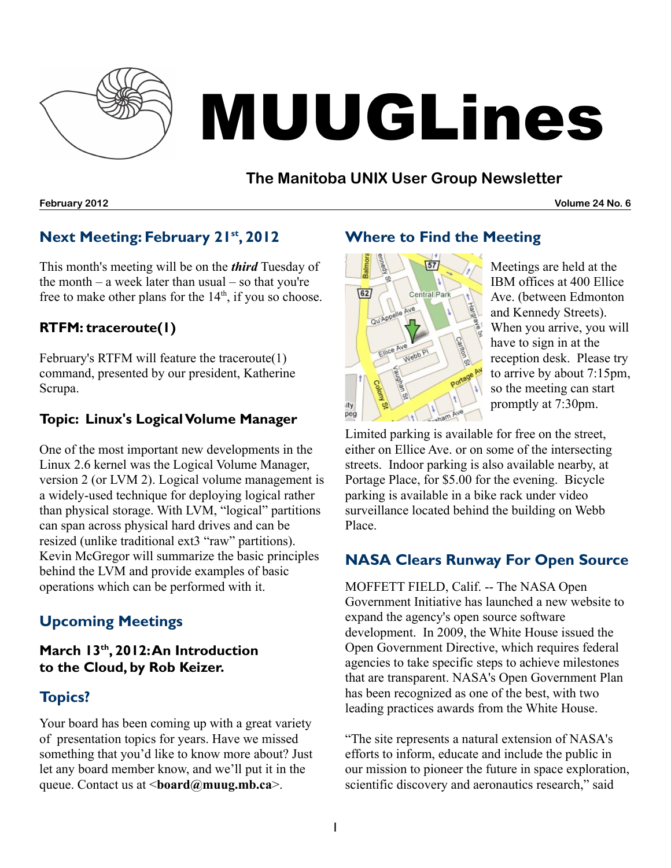

# MUUGLines

# **The Manitoba UNIX User Group Newsletter**

**February 2012 Volume 24 No. 6**

# **Next Meeting: February 21 st , 2012**

This month's meeting will be on the *third* Tuesday of the month  $-$  a week later than usual  $-$  so that you're free to make other plans for the  $14<sup>th</sup>$ , if you so choose.

## **RTFM: traceroute(1)**

February's RTFM will feature the traceroute(1) command, presented by our president, Katherine Scrupa.

## **Topic: Linux's LogicalVolume Manager**

One of the most important new developments in the Linux 2.6 kernel was the Logical Volume Manager, version 2 (or LVM 2). Logical volume management is a widely-used technique for deploying logical rather than physical storage. With LVM, "logical" partitions can span across physical hard drives and can be resized (unlike traditional ext3 "raw" partitions). Kevin McGregor will summarize the basic principles behind the LVM and provide examples of basic operations which can be performed with it.

# **Upcoming Meetings**

## **March 13 th , 2012:An Introduction to the Cloud, by Rob Keizer.**

# **Topics?**

Your board has been coming up with a great variety of presentation topics for years. Have we missed something that you'd like to know more about? Just let any board member know, and we'll put it in the queue. Contact us at <**[board@muug.mb.ca](mailto:board@muug.mb.ca)**>.

# **Where to Find the Meeting**



Meetings are held at the IBM offices at 400 Ellice Ave. (between Edmonton and Kennedy Streets). When you arrive, you will have to sign in at the reception desk. Please try to arrive by about 7:15pm, so the meeting can start promptly at 7:30pm.

Limited parking is available for free on the street, either on Ellice Ave. or on some of the intersecting streets. Indoor parking is also available nearby, at Portage Place, for \$5.00 for the evening. Bicycle parking is available in a bike rack under video surveillance located behind the building on Webb Place.

# **NASA Clears Runway For Open Source**

MOFFETT FIELD, Calif. -- The NASA Open Government Initiative has launched a new website to expand the agency's open source software development. In 2009, the White House issued the Open Government Directive, which requires federal agencies to take specific steps to achieve milestones that are transparent. NASA's Open Government Plan has been recognized as one of the best, with two leading practices awards from the White House.

"The site represents a natural extension of NASA's efforts to inform, educate and include the public in our mission to pioneer the future in space exploration, scientific discovery and aeronautics research," said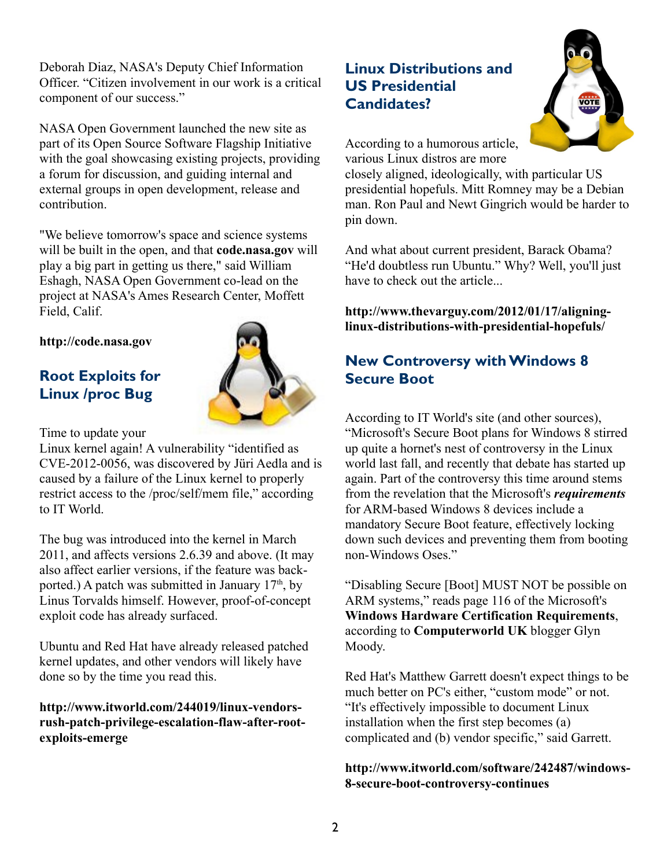Deborah Diaz, NASA's Deputy Chief Information Officer. "Citizen involvement in our work is a critical component of our success."

NASA Open Government launched the new site as part of its Open Source Software Flagship Initiative with the goal showcasing existing projects, providing a forum for discussion, and guiding internal and external groups in open development, release and contribution.

"We believe tomorrow's space and science systems will be built in the open, and that **[code.nasa.gov](http://code.nasa.gov/)** will play a big part in getting us there," said William Eshagh, NASA Open Government co-lead on the project at NASA's Ames Research Center, Moffett Field, Calif.

**[http://code.nasa.gov](http://code.nasa.gov/)**

## **Root Exploits for Linux /proc Bug**



Time to update your

Linux kernel again! A vulnerability "identified as CVE-2012-0056, was discovered by Jüri Aedla and is caused by a failure of the Linux kernel to properly restrict access to the /proc/self/mem file," according to IT World.

The bug was introduced into the kernel in March 2011, and affects versions 2.6.39 and above. (It may also affect earlier versions, if the feature was backported.) A patch was submitted in January  $17<sup>th</sup>$ , by Linus Torvalds himself. However, proof-of-concept exploit code has already surfaced.

Ubuntu and Red Hat have already released patched kernel updates, and other vendors will likely have done so by the time you read this.

**[http://www.itworld.com/244019/linux-vendors](http://www.itworld.com/244019/linux-vendors-rush-patch-privilege-escalation-flaw-after-root-exploits-emerge)[rush-patch-privilege-escalation-flaw-after-root](http://www.itworld.com/244019/linux-vendors-rush-patch-privilege-escalation-flaw-after-root-exploits-emerge)[exploits-emerge](http://www.itworld.com/244019/linux-vendors-rush-patch-privilege-escalation-flaw-after-root-exploits-emerge)**

# **Linux Distributions and US Presidential Candidates?**



According to a humorous article, various Linux distros are more

closely aligned, ideologically, with particular US presidential hopefuls. Mitt Romney may be a Debian man. Ron Paul and Newt Gingrich would be harder to pin down.

And what about current president, Barack Obama? "He'd doubtless run Ubuntu." Why? Well, you'll just have to check out the article...

**[http://www.thevarguy.com/2012/01/17/aligning](http://www.thevarguy.com/2012/01/17/aligning-linux-distributions-with-presidential-hopefuls/)[linux-distributions-with-presidential-hopefuls/](http://www.thevarguy.com/2012/01/17/aligning-linux-distributions-with-presidential-hopefuls/)**

## **New Controversy withWindows 8 Secure Boot**

According to IT World's site (and other sources), "Microsoft's Secure Boot plans for Windows 8 stirred up quite a hornet's nest of controversy in the Linux world last fall, and recently that debate has started up again. Part of the controversy this time around stems from the revelation that the Microsoft's *[requirements](http://www.pcworld.com/article/248279/windows_8_tablet_requirements_revealed.html)* for ARM-based Windows 8 devices include a mandatory Secure Boot feature, effectively locking down such devices and preventing them from booting non-Windows Oses."

"Disabling Secure [Boot] MUST NOT be possible on ARM systems," reads page 116 of the Microsoft's **[Windows Hardware Certification Requirements](http://msdn.microsoft.com/library/windows/hardware/hh748188)**, according to **[Computerworld UK](http://blogs.computerworlduk.com/open-enterprise/2012/01/is-microsoft-blocking-linux-booting-on-arm-based-hardware/index.htm)** blogger Glyn Moody.

Red Hat's Matthew Garrett doesn't expect things to be much better on PC's either, "custom mode" or not. "It's effectively impossible to document Linux installation when the first step becomes (a) complicated and (b) vendor specific," said Garrett.

#### **[http://www.itworld.com/software/242487/windows-](http://www.itworld.com/software/242487/windows-8-secure-boot-controversy-continues)[8-secure-boot-controversy-continues](http://www.itworld.com/software/242487/windows-8-secure-boot-controversy-continues)**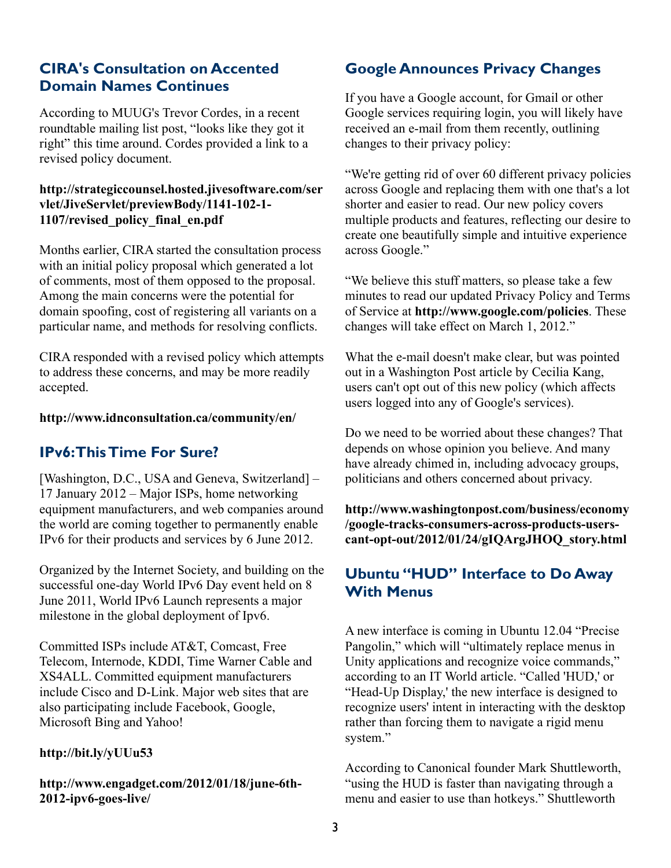## **CIRA's Consultation on Accented Domain Names Continues**

According to MUUG's Trevor Cordes, in a recent roundtable mailing list post, "looks like they got it right" this time around. Cordes provided a link to a revised policy document.

#### **[http://strategiccounsel.hosted.jivesoftware.com/ser](http://strategiccounsel.hosted.jivesoftware.com/servlet/JiveServlet/previewBody/1141-102-1-1107/revised_policy_final_en.pdf) [vlet/JiveServlet/previewBody/1141-102-1-](http://strategiccounsel.hosted.jivesoftware.com/servlet/JiveServlet/previewBody/1141-102-1-1107/revised_policy_final_en.pdf) [1107/revised\\_policy\\_final\\_en.pdf](http://strategiccounsel.hosted.jivesoftware.com/servlet/JiveServlet/previewBody/1141-102-1-1107/revised_policy_final_en.pdf)**

Months earlier, CIRA started the consultation process with an initial policy proposal which generated a lot of comments, most of them opposed to the proposal. Among the main concerns were the potential for domain spoofing, cost of registering all variants on a particular name, and methods for resolving conflicts.

CIRA responded with a revised policy which attempts to address these concerns, and may be more readily accepted.

#### **<http://www.idnconsultation.ca/community/en/>**

## **IPv6:ThisTime For Sure?**

[Washington, D.C., USA and Geneva, Switzerland] – 17 January 2012 – Major ISPs, home networking equipment manufacturers, and web companies around the world are coming together to permanently enable IPv6 for their products and services by 6 June 2012.

Organized by the Internet Society, and building on the successful one-day World IPv6 Day event held on 8 June 2011, World IPv6 Launch represents a major milestone in the global deployment of Ipv6.

Committed ISPs include AT&T, Comcast, Free Telecom, Internode, KDDI, Time Warner Cable and XS4ALL. Committed equipment manufacturers include Cisco and D-Link. Major web sites that are also participating include Facebook, Google, Microsoft Bing and Yahoo!

#### **<http://bit.ly/yUUu53>**

**[http://www.engadget.com/2012/01/18/june-6th-](http://www.engadget.com/2012/01/18/june-6th-2012-ipv6-goes-live/)[2012-ipv6-goes-live/](http://www.engadget.com/2012/01/18/june-6th-2012-ipv6-goes-live/)**

## **Google Announces Privacy Changes**

If you have a Google account, for Gmail or other Google services requiring login, you will likely have received an e-mail from them recently, outlining changes to their privacy policy:

"We're getting rid of over 60 different privacy policies across Google and replacing them with one that's a lot shorter and easier to read. Our new policy covers multiple products and features, reflecting our desire to create one beautifully simple and intuitive experience across Google."

"We believe this stuff matters, so please take a few minutes to read our updated Privacy Policy and Terms of Service at **<http://www.google.com/policies>**. These changes will take effect on March 1, 2012."

What the e-mail doesn't make clear, but was pointed out in a Washington Post article by Cecilia Kang, users can't opt out of this new policy (which affects users logged into any of Google's services).

Do we need to be worried about these changes? That depends on whose opinion you believe. And many have already chimed in, including advocacy groups, politicians and others concerned about privacy.

**[http://www.washingtonpost.com/business/economy](http://www.washingtonpost.com/business/economy/google-tracks-consumers-across-products-users-cant-opt-out/2012/01/24/gIQArgJHOQ_story.html?hpid=z3) [/google-tracks-consumers-across-products-users](http://www.washingtonpost.com/business/economy/google-tracks-consumers-across-products-users-cant-opt-out/2012/01/24/gIQArgJHOQ_story.html?hpid=z3)[cant-opt-out/2012/01/24/gIQArgJHOQ\\_story.html](http://www.washingtonpost.com/business/economy/google-tracks-consumers-across-products-users-cant-opt-out/2012/01/24/gIQArgJHOQ_story.html?hpid=z3)**

## **Ubuntu "HUD" Interface to Do Away With Menus**

A new interface is coming in Ubuntu 12.04 "Precise Pangolin," which will "ultimately replace menus in Unity applications and recognize voice commands," according to an IT World article. "Called 'HUD,' or "Head-Up Display,' the new interface is designed to recognize users' intent in interacting with the desktop rather than forcing them to navigate a rigid menu system."

According to Canonical founder Mark Shuttleworth, "using the HUD is faster than navigating through a menu and easier to use than hotkeys." Shuttleworth